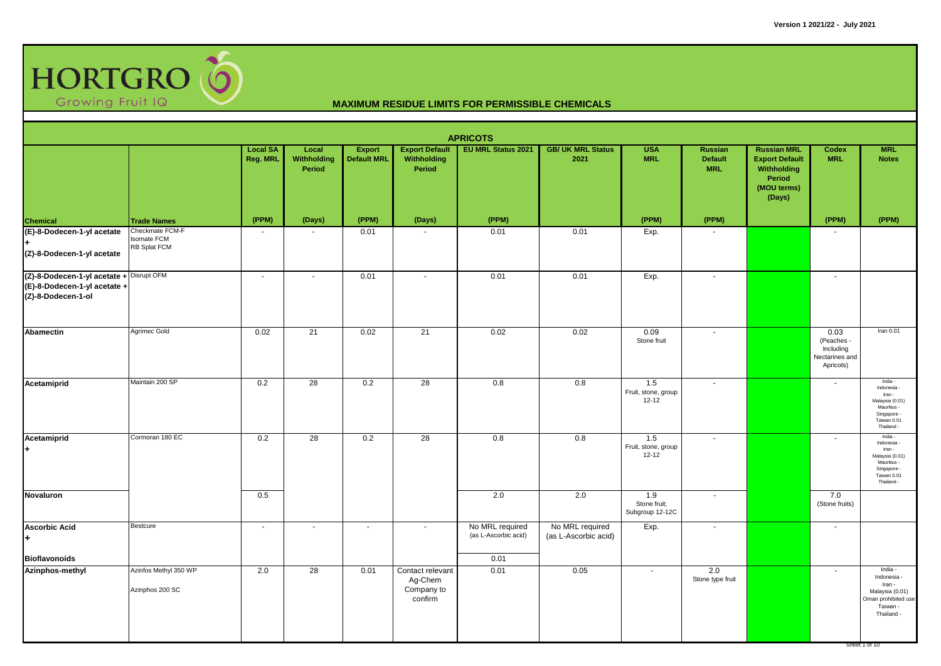

|                                                                                                |                                                       |                             |                                |                                     |                                                      | <b>APRICOTS</b>                         |                                         |                                         |                                                |                                                                                               |                                                                |                                                                                                                |
|------------------------------------------------------------------------------------------------|-------------------------------------------------------|-----------------------------|--------------------------------|-------------------------------------|------------------------------------------------------|-----------------------------------------|-----------------------------------------|-----------------------------------------|------------------------------------------------|-----------------------------------------------------------------------------------------------|----------------------------------------------------------------|----------------------------------------------------------------------------------------------------------------|
|                                                                                                |                                                       | <b>Local SA</b><br>Reg. MRL | Local<br>Withholding<br>Period | <b>Export</b><br><b>Default MRL</b> | <b>Export Default</b><br>Withholding<br>Period       | <b>EU MRL Status 2021</b>               | <b>GB/ UK MRL Status</b><br>2021        | <b>USA</b><br><b>MRL</b>                | <b>Russian</b><br><b>Default</b><br><b>MRL</b> | <b>Russian MRL</b><br><b>Export Default</b><br>Withholding<br>Period<br>(MOU terms)<br>(Days) | Codex<br><b>MRL</b>                                            | <b>MRL</b><br><b>Notes</b>                                                                                     |
| Chemical                                                                                       | <b>Trade Names</b>                                    | (PPM)                       | (Days)                         | (PPM)                               | (Days)                                               | (PPM)                                   |                                         | (PPM)                                   | (PPM)                                          |                                                                                               | (PPM)                                                          | (PPM)                                                                                                          |
| (E)-8-Dodecen-1-yl acetate<br>(Z)-8-Dodecen-1-yl acetate                                       | Checkmate FCM-F<br><b>Isomate FCM</b><br>RB Splat FCM |                             | $\sim$                         | 0.01                                |                                                      | 0.01                                    | 0.01                                    | Exp.                                    |                                                |                                                                                               |                                                                |                                                                                                                |
| (Z)-8-Dodecen-1-yl acetate + Disrupt OFM<br>(E)-8-Dodecen-1-yl acetate +<br>(Z)-8-Dodecen-1-ol |                                                       | $\sim$                      | $\sim$                         | 0.01                                | $\blacksquare$                                       | 0.01                                    | 0.01                                    | Exp.                                    | $\blacksquare$                                 |                                                                                               | $\sim$                                                         |                                                                                                                |
| Abamectin                                                                                      | Agrimec Gold                                          | 0.02                        | 21                             | 0.02                                | 21                                                   | 0.02                                    | 0.02                                    | 0.09<br>Stone fruit                     | $\blacksquare$                                 |                                                                                               | 0.03<br>(Peaches -<br>Including<br>Nectarines and<br>Apricots) | Iran 0.01                                                                                                      |
| Acetamiprid                                                                                    | Maintain 200 SP                                       | 0.2                         | 28                             | 0.2                                 | 28                                                   | 0.8                                     | 0.8                                     | 1.5<br>Fruit, stone, group<br>$12 - 12$ | $\overline{\phantom{a}}$                       |                                                                                               | $\sim$                                                         | India -<br>Indonesia -<br>Iran -<br>Malaysia (0.01)<br>Mauritius -<br>Singapore -<br>Taiwan 0.01<br>Thailand - |
| Acetamiprid<br>l+                                                                              | Cormoran 180 EC                                       | 0.2                         | 28                             | 0.2                                 | 28                                                   | 0.8                                     | 0.8                                     | 1.5<br>Fruit, stone, group<br>$12 - 12$ | $\mathbf{r}$                                   |                                                                                               | $\overline{\phantom{a}}$                                       | India<br>Indonesia<br>Iran -<br>Malaysia (0.01)<br>Mauritius -<br>Singapore -<br>Taiwan 0.01<br>Thailand -     |
| Novaluron                                                                                      |                                                       | 0.5                         |                                |                                     |                                                      | 2.0                                     | 2.0                                     | 1.9<br>Stone fruit;<br>Subgroup 12-12C  | $\blacksquare$                                 |                                                                                               | 7.0<br>(Stone fruits)                                          |                                                                                                                |
| <b>Ascorbic Acid</b><br>l+                                                                     | Bestcure                                              | $\sim$                      | $\sim$                         | $\sim$                              | $\sim$                                               | No MRL required<br>(as L-Ascorbic acid) | No MRL required<br>(as L-Ascorbic acid) | Exp.                                    | $\omega$                                       |                                                                                               | $\sim$                                                         |                                                                                                                |
| <b>Bioflavonoids</b>                                                                           |                                                       |                             |                                |                                     |                                                      | 0.01                                    |                                         |                                         |                                                |                                                                                               |                                                                |                                                                                                                |
| Azinphos-methyl                                                                                | Azinfos Methyl 350 WP<br>Azinphos 200 SC              | 2.0                         | 28                             | 0.01                                | Contact relevant<br>Ag-Chem<br>Company to<br>confirm | 0.01                                    | 0.05                                    | $\sim$                                  | 2.0<br>Stone type fruit                        |                                                                                               | $\overline{\phantom{a}}$                                       | India -<br>Indonesia -<br>Iran -<br>Malaysia (0.01)<br>Oman prohibited use<br>Taiwan -<br>Thailand -           |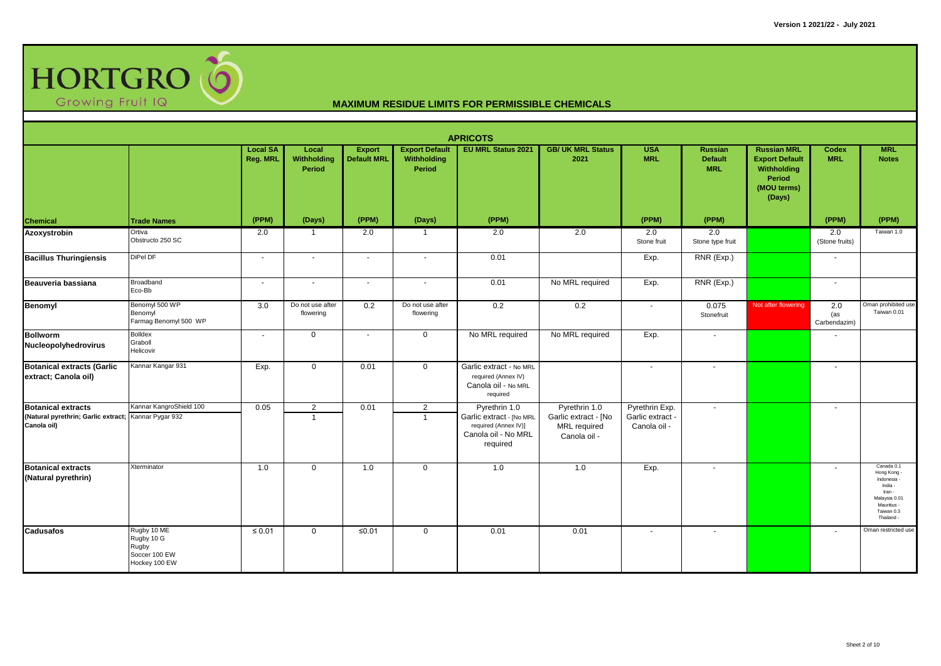

|                                                                                                  |                                                                      |                             |                                  |                                     |                                                       | <b>APRICOTS</b>                                                                                      |                                                                              |                                                    |                                                |                                                                                               |                            |                                                                                                                       |
|--------------------------------------------------------------------------------------------------|----------------------------------------------------------------------|-----------------------------|----------------------------------|-------------------------------------|-------------------------------------------------------|------------------------------------------------------------------------------------------------------|------------------------------------------------------------------------------|----------------------------------------------------|------------------------------------------------|-----------------------------------------------------------------------------------------------|----------------------------|-----------------------------------------------------------------------------------------------------------------------|
|                                                                                                  |                                                                      | <b>Local SA</b><br>Reg. MRL | Local<br>Withholding<br>Period   | <b>Export</b><br><b>Default MRL</b> | <b>Export Default</b><br>Withholding<br><b>Period</b> | <b>EU MRL Status 2021</b>                                                                            | <b>GB/ UK MRL Status</b><br>2021                                             | <b>USA</b><br><b>MRL</b>                           | <b>Russian</b><br><b>Default</b><br><b>MRL</b> | <b>Russian MRL</b><br><b>Export Default</b><br>Withholding<br>Period<br>(MOU terms)<br>(Days) | Codex<br><b>MRL</b>        | <b>MRL</b><br><b>Notes</b>                                                                                            |
| Chemical                                                                                         | <b>Trade Names</b>                                                   | (PPM)                       | (Days)                           | (PPM)                               | (Days)                                                | (PPM)                                                                                                |                                                                              | (PPM)                                              | (PPM)                                          |                                                                                               | (PPM)                      | (PPM)                                                                                                                 |
| Azoxystrobin                                                                                     | Ortiva<br>Obstructo 250 SC                                           | 2.0                         | $\mathbf{1}$                     | 2.0                                 | $\overline{1}$                                        | 2.0                                                                                                  | 2.0                                                                          | 2.0<br>Stone fruit                                 | 2.0<br>Stone type fruit                        |                                                                                               | 2.0<br>(Stone fruits)      | Taiwan 1.0                                                                                                            |
| <b>Bacillus Thuringiensis</b>                                                                    | DiPel DF                                                             | $\sim$                      | $\sim$                           | $\overline{\phantom{a}}$            | $\sim$                                                | 0.01                                                                                                 |                                                                              | Exp.                                               | RNR (Exp.)                                     |                                                                                               | $\overline{a}$             |                                                                                                                       |
| Beauveria bassiana                                                                               | Broadband<br>Eco-Bb                                                  | $\sim$                      | $\sim$                           | $\sim$                              | $\sim$                                                | 0.01                                                                                                 | No MRL required                                                              | Exp.                                               | RNR (Exp.)                                     |                                                                                               | $\sim$                     |                                                                                                                       |
| Benomyl                                                                                          | Benomyl 500 WP<br>Benomyl<br>Farmag Benomyl 500 WP                   | 3.0                         | Do not use after<br>flowering    | 0.2                                 | Do not use after<br>flowering                         | 0.2                                                                                                  | 0.2                                                                          |                                                    | 0.075<br>Stonefruit                            | Not after flowering                                                                           | 2.0<br>(as<br>Carbendazim) | Oman prohibited use<br>Taiwan 0.01                                                                                    |
| <b>Bollworm</b><br>Nucleopolyhedrovirus                                                          | <b>Bolldex</b><br>Graboll<br>Helicovir                               | $\sim$                      | $\mathbf 0$                      | $\overline{\phantom{a}}$            | $\mathbf 0$                                           | No MRL required                                                                                      | No MRL required                                                              | Exp.                                               | $\overline{\phantom{a}}$                       |                                                                                               |                            |                                                                                                                       |
| <b>Botanical extracts (Garlic</b><br>extract; Canola oil)                                        | Kannar Kangar 931                                                    | Exp.                        | $\mathbf 0$                      | 0.01                                | $\overline{0}$                                        | Garlic extract - No MRL<br>required (Annex IV)<br>Canola oil - No MRL<br>required                    |                                                                              | $\sim$                                             |                                                |                                                                                               |                            |                                                                                                                       |
| <b>Botanical extracts</b><br>(Natural pyrethrin; Garlic extract; Kannar Pygar 932<br>Canola oil) | Kannar KangroShield 100                                              | 0.05                        | $\overline{2}$<br>$\overline{1}$ | 0.01                                | $\overline{2}$<br>$\overline{1}$                      | Pyrethrin 1.0<br>Garlic extract - [No MRL<br>required (Annex IV)]<br>Canola oil - No MRL<br>required | Pyrethrin 1.0<br>Garlic extract - [No<br><b>MRL</b> required<br>Canola oil - | Pyrethrin Exp.<br>Garlic extract -<br>Canola oil - | $\sim$                                         |                                                                                               | $\sim$                     |                                                                                                                       |
| <b>Botanical extracts</b><br>(Natural pyrethrin)                                                 | Xterminator                                                          | 1.0                         | $\mathbf 0$                      | 1.0                                 | $\mathbf 0$                                           | 1.0                                                                                                  | 1.0                                                                          | Exp.                                               | $\overline{\phantom{a}}$                       |                                                                                               |                            | Canada 0.1<br>Hong Kong<br>Indonesia<br>India -<br>Iran -<br>Malaysia 0.01<br>Mauritius -<br>Taiwan 0.3<br>Thailand - |
| <b>Cadusafos</b>                                                                                 | Rugby 10 ME<br>Rugby 10 G<br>Rugby<br>Soccer 100 EW<br>Hockey 100 EW | $\leq 0.01$                 | 0                                | $≤0.01$                             | $\mathbf 0$                                           | 0.01                                                                                                 | 0.01                                                                         | $\sim$                                             | $\sim$                                         |                                                                                               | $\overline{\phantom{a}}$   | Oman restricted use                                                                                                   |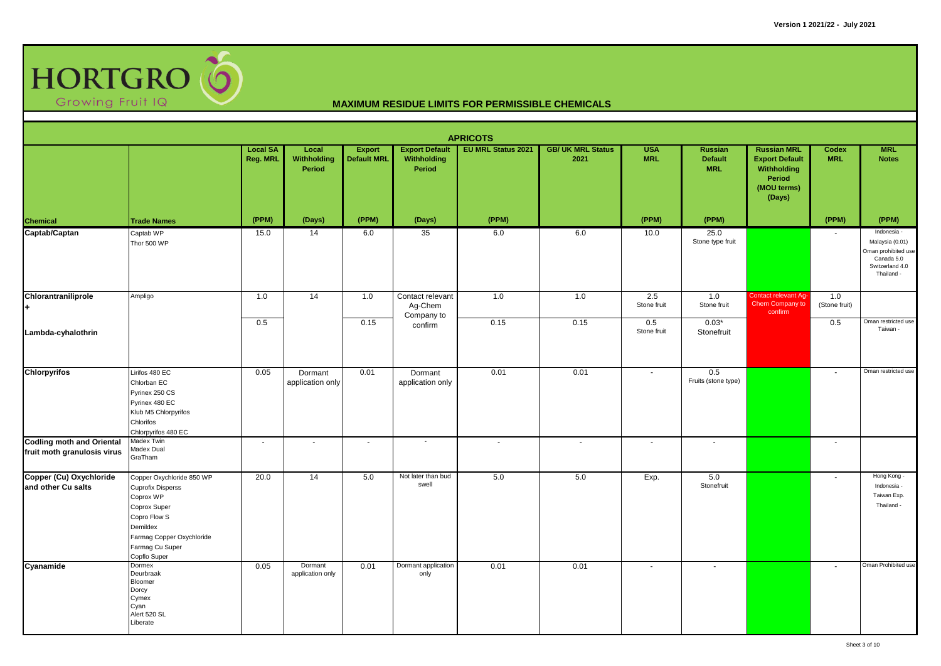

|                                                                 |                                                                                                                                                                                |                             |                                       |                                     |                                                | <b>APRICOTS</b>           |                                  |                          |                                                |                                                                                               |                            |                                                                                                      |
|-----------------------------------------------------------------|--------------------------------------------------------------------------------------------------------------------------------------------------------------------------------|-----------------------------|---------------------------------------|-------------------------------------|------------------------------------------------|---------------------------|----------------------------------|--------------------------|------------------------------------------------|-----------------------------------------------------------------------------------------------|----------------------------|------------------------------------------------------------------------------------------------------|
|                                                                 |                                                                                                                                                                                | <b>Local SA</b><br>Reg. MRL | Local<br><b>Withholding</b><br>Period | <b>Export</b><br><b>Default MRL</b> | <b>Export Default</b><br>Withholding<br>Period | <b>EU MRL Status 2021</b> | <b>GB/ UK MRL Status</b><br>2021 | <b>USA</b><br><b>MRL</b> | <b>Russian</b><br><b>Default</b><br><b>MRL</b> | <b>Russian MRL</b><br><b>Export Default</b><br>Withholding<br>Period<br>(MOU terms)<br>(Days) | <b>Codex</b><br><b>MRL</b> | <b>MRL</b><br><b>Notes</b>                                                                           |
|                                                                 | <b>Trade Names</b>                                                                                                                                                             | (PPM)                       | (Days)                                | (PPM)                               | (Days)                                         | (PPM)                     |                                  | (PPM)                    | (PPM)                                          |                                                                                               | (PPM)                      | (PPM)                                                                                                |
| Chemical<br>Captab/Captan                                       | Captab WP<br>Thor 500 WP                                                                                                                                                       | 15.0                        | 14                                    | 6.0                                 | 35                                             | 6.0                       | 6.0                              | 10.0                     | 25.0<br>Stone type fruit                       |                                                                                               |                            | Indonesia -<br>Malaysia (0.01)<br>Oman prohibited use<br>Canada 5.0<br>Switzerland 4.0<br>Thailand - |
| Chlorantraniliprole                                             | Ampligo                                                                                                                                                                        | 1.0                         | $\overline{14}$                       | 1.0                                 | Contact relevant<br>Ag-Chem                    | 1.0                       | 1.0                              | 2.5<br>Stone fruit       | 1.0<br>Stone fruit                             | Contact relevant Ag-<br>Chem Company to<br>confirm                                            | 1.0<br>(Stone fruit)       |                                                                                                      |
| Lambda-cyhalothrin                                              |                                                                                                                                                                                | 0.5                         |                                       | 0.15                                | Company to<br>confirm                          | 0.15                      | 0.15                             | 0.5<br>Stone fruit       | $0.03*$<br>Stonefruit                          |                                                                                               | 0.5                        | Oman restricted use<br>Taiwan -                                                                      |
| <b>Chlorpyrifos</b>                                             | Lirifos 480 EC<br>Chlorban EC<br>Pyrinex 250 CS<br>Pyrinex 480 EC<br>Klub M5 Chlorpyrifos<br>Chlorifos<br>Chlorpyrifos 480 EC                                                  | 0.05                        | Dormant<br>application only           | 0.01                                | Dormant<br>application only                    | 0.01                      | 0.01                             | $\sim$                   | 0.5<br>Fruits (stone type)                     |                                                                                               | $\overline{\phantom{a}}$   | Oman restricted use                                                                                  |
| <b>Codling moth and Oriental</b><br>fruit moth granulosis virus | Madex Twin<br>Madex Dual<br>GraTham                                                                                                                                            | $\sim$                      | $\sim$                                | $\mathbf{r}$                        | $\sim$                                         | $\sim$                    | $\sim$                           | $\sim$                   | $\sim$                                         |                                                                                               | $\sim$                     |                                                                                                      |
| Copper (Cu) Oxychloride<br>and other Cu salts                   | Copper Oxychloride 850 WP<br><b>Cuprofix Disperss</b><br>Coprox WP<br>Coprox Super<br>Copro Flow S<br>Demildex<br>Farmag Copper Oxychloride<br>Farmag Cu Super<br>Copflo Super | 20.0                        | 14                                    | 5.0                                 | Not later than bud<br>swell                    | 5.0                       | 5.0                              | Exp.                     | 5.0<br>Stonefruit                              |                                                                                               | $\overline{\phantom{a}}$   | Hong Kong -<br>Indonesia -<br>Taiwan Exp.<br>Thailand -                                              |
| Cyanamide                                                       | Dormex<br>Deurbraak<br>Bloomer<br>Dorcy<br>Cymex<br>Cyan<br>Alert 520 SL<br>Liberate                                                                                           | 0.05                        | Dormant<br>application only           | 0.01                                | Dormant application<br>only                    | 0.01                      | 0.01                             | $\sim$                   | $\overline{\phantom{a}}$                       |                                                                                               | $\sim$                     | Oman Prohibited use                                                                                  |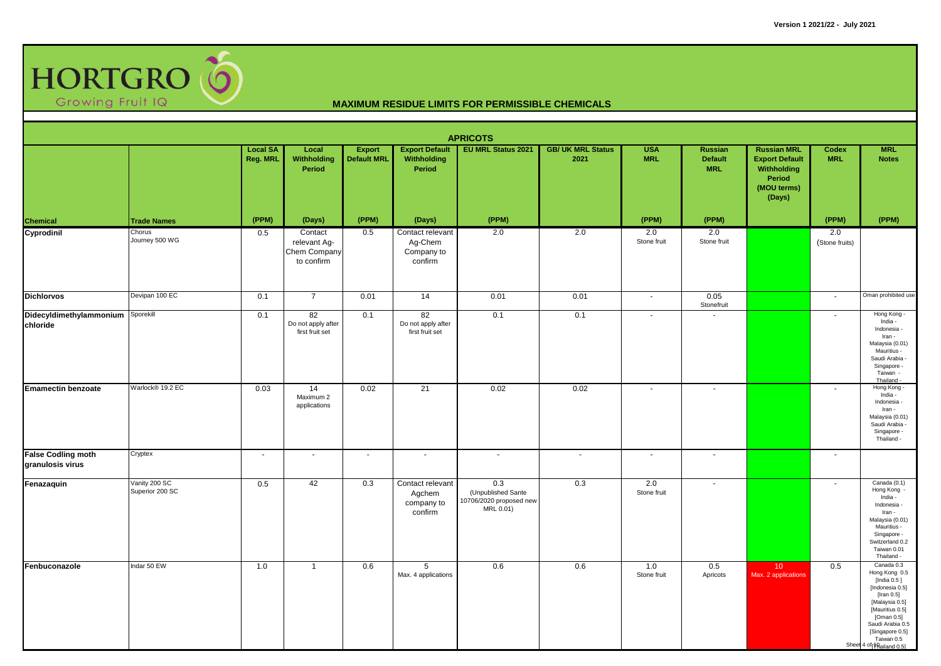

|                                               |                                  |                             |                                                       |                                     |                                                      | <b>APRICOTS</b>                                                   |                                  |                          |                                                |                                                                                               |                          |                                                                                                                                                                                                                    |
|-----------------------------------------------|----------------------------------|-----------------------------|-------------------------------------------------------|-------------------------------------|------------------------------------------------------|-------------------------------------------------------------------|----------------------------------|--------------------------|------------------------------------------------|-----------------------------------------------------------------------------------------------|--------------------------|--------------------------------------------------------------------------------------------------------------------------------------------------------------------------------------------------------------------|
|                                               |                                  | <b>Local SA</b><br>Reg. MRL | Local<br>Withholding<br>Period                        | <b>Export</b><br><b>Default MRL</b> | <b>Export Default</b><br>Withholding<br>Period       | EU MRL Status 2021                                                | <b>GB/ UK MRL Status</b><br>2021 | <b>USA</b><br><b>MRL</b> | <b>Russian</b><br><b>Default</b><br><b>MRL</b> | <b>Russian MRL</b><br><b>Export Default</b><br>Withholding<br>Period<br>(MOU terms)<br>(Days) | Codex<br><b>MRL</b>      | <b>MRL</b><br><b>Notes</b>                                                                                                                                                                                         |
|                                               | <b>Trade Names</b>               | (PPM)                       | (Days)                                                | (PPM)                               | (Days)                                               | (PPM)                                                             |                                  | (PPM)                    | (PPM)                                          |                                                                                               | (PPM)                    | (PPM)                                                                                                                                                                                                              |
| <b>Chemical</b><br>Cyprodinil                 | Chorus<br>Journey 500 WG         | 0.5                         | Contact<br>relevant Ag-<br>Chem Company<br>to confirm | 0.5                                 | Contact relevant<br>Ag-Chem<br>Company to<br>confirm | 2.0                                                               | 2.0                              | 2.0<br>Stone fruit       | 2.0<br>Stone fruit                             |                                                                                               | 2.0<br>(Stone fruits)    |                                                                                                                                                                                                                    |
| <b>Dichlorvos</b>                             | Devipan 100 EC                   | 0.1                         | $\overline{7}$                                        | 0.01                                | 14                                                   | 0.01                                                              | 0.01                             | $\sim$                   | 0.05<br>Stonefruit                             |                                                                                               | $\sim$                   | Oman prohibited use                                                                                                                                                                                                |
| Didecyldimethylammonium<br>chloride           | Sporekill                        | 0.1                         | 82<br>Do not apply after<br>first fruit set           | 0.1                                 | 82<br>Do not apply after<br>first fruit set          | 0.1                                                               | 0.1                              | $\sim$                   | $\sim$                                         |                                                                                               | $\sim$                   | Hong Kong -<br>India -<br>Indonesia -<br>Iran -<br>Malaysia (0.01)<br>Mauritius -<br>Saudi Arabia -<br>Singapore -<br>Taiwan -<br>Thailand -                                                                       |
| <b>Emamectin benzoate</b>                     | Warlock® 19.2 EC                 | 0.03                        | 14<br>Maximum 2<br>applications                       | 0.02                                | $\overline{21}$                                      | 0.02                                                              | 0.02                             | $\sim$                   | $\overline{\phantom{a}}$                       |                                                                                               | $\overline{\phantom{a}}$ | Hong Kong<br>India -<br>Indonesia -<br>Iran -<br>Malaysia (0.01)<br>Saudi Arabia -<br>Singapore -<br>Thailand -                                                                                                    |
| <b>False Codling moth</b><br>granulosis virus | Cryptex                          | $\sim$                      | $\sim$                                                | $\sim$                              | $\sim$                                               | $\sim$                                                            | $\sim$                           | $\sim$                   | $\overline{\phantom{a}}$                       |                                                                                               | $\sim$                   |                                                                                                                                                                                                                    |
| Fenazaquin                                    | Vanity 200 SC<br>Superior 200 SC | 0.5                         | 42                                                    | 0.3                                 | Contact relevant<br>Agchem<br>company to<br>confirm  | 0.3<br>(Unpublished Sante<br>10706/2020 proposed new<br>MRL 0.01) | 0.3                              | 2.0<br>Stone fruit       | $\blacksquare$                                 |                                                                                               |                          | Canada (0.1)<br>Hong Kong<br>India -<br>Indonesia -<br>Iran -<br>Malaysia (0.01)<br>Mauritius -<br>Singapore -<br>Switzerland 0.2<br>Taiwan 0.01<br>Thailand -                                                     |
| Fenbuconazole                                 | Indar 50 EW                      | 1.0                         | $\mathbf{1}$                                          | 0.6                                 | 5<br>Max. 4 applications                             | 0.6                                                               | 0.6                              | 1.0<br>Stone fruit       | 0.5<br>Apricots                                | 10 <sup>°</sup><br>Max. 2 applications                                                        | 0.5                      | Canada 0.3<br>Hong Kong 0.5<br>[India 0.5 ]<br>[Indonesia 0.5]<br>[Iran $0.5$ ]<br>[Malaysia 0.5]<br>[Mauritius 0.5]<br>[Oman 0.5]<br>Saudi Arabia 0.5<br>[Singapore 0.5]<br>Taiwan 0.5<br>Sheet 4 of failand 0.51 |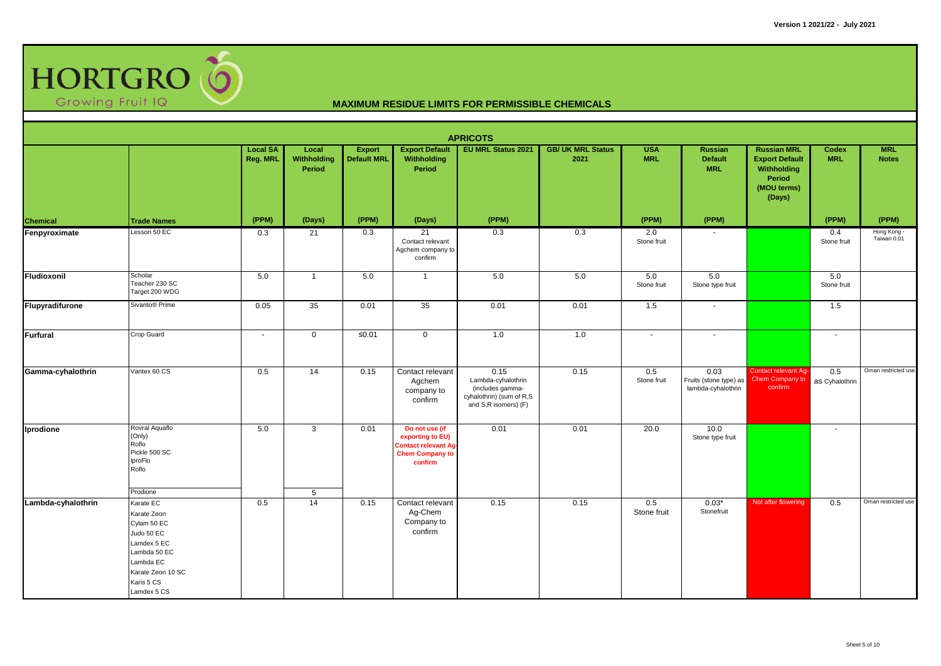

|                    |                                                                                                                                                     |                             |                                |                                     |                                                                                                        | <b>APRICOTS</b>                                                                                    |                                  |                          |                                                      |                                                                                               |                          |                            |
|--------------------|-----------------------------------------------------------------------------------------------------------------------------------------------------|-----------------------------|--------------------------------|-------------------------------------|--------------------------------------------------------------------------------------------------------|----------------------------------------------------------------------------------------------------|----------------------------------|--------------------------|------------------------------------------------------|-----------------------------------------------------------------------------------------------|--------------------------|----------------------------|
|                    |                                                                                                                                                     | <b>Local SA</b><br>Reg. MRL | Local<br>Withholding<br>Period | <b>Export</b><br><b>Default MRL</b> | <b>Export Default</b><br>Withholding<br>Period                                                         | <b>EU MRL Status 2021</b>                                                                          | <b>GB/ UK MRL Status</b><br>2021 | <b>USA</b><br><b>MRL</b> | <b>Russian</b><br><b>Default</b><br><b>MRL</b>       | <b>Russian MRL</b><br><b>Export Default</b><br>Withholding<br>Period<br>(MOU terms)<br>(Days) | Codex<br><b>MRL</b>      | <b>MRL</b><br><b>Notes</b> |
| Chemical           | <b>Trade Names</b>                                                                                                                                  | (PPM)                       | (Days)                         | (PPM)                               | (Days)                                                                                                 | (PPM)                                                                                              |                                  | (PPM)                    | (PPM)                                                |                                                                                               | (PPM)                    | (PPM)                      |
| Fenpyroximate      | Lesson 50 EC                                                                                                                                        | 0.3                         | 21                             | 0.3                                 | 21<br>Contact relevant<br>Agchem company to<br>confirm                                                 | 0.3                                                                                                | 0.3                              | 2.0<br>Stone fruit       |                                                      |                                                                                               | 0.4<br>Stone fruit       | Hong Kong -<br>Taiwan 0.01 |
| Fludioxonil        | Scholar<br>Teacher 230 SC<br>Target 200 WDG                                                                                                         | 5.0                         | $\overline{1}$                 | 5.0                                 | $\overline{1}$                                                                                         | 5.0                                                                                                | 5.0                              | 5.0<br>Stone fruit       | 5.0<br>Stone type fruit                              |                                                                                               | 5.0<br>Stone fruit       |                            |
| Flupyradifurone    | Sivanto <sup>®</sup> Prime                                                                                                                          | 0.05                        | 35                             | 0.01                                | 35                                                                                                     | 0.01                                                                                               | 0.01                             | 1.5                      |                                                      |                                                                                               | 1.5                      |                            |
| Furfural           | Crop Guard                                                                                                                                          | $\sim$                      | $\mathbf 0$                    | $\leq 0.01$                         | $\mathbf 0$                                                                                            | 1.0                                                                                                | 1.0                              | $\sim$                   | $\overline{\phantom{a}}$                             |                                                                                               | $\sim$                   |                            |
| Gamma-cyhalothrin  | Vantex 60 CS                                                                                                                                        | 0.5                         | 14                             | 0.15                                | Contact relevant<br>Agchem<br>company to<br>confirm                                                    | 0.15<br>Lambda-cyhalothrin<br>(includes gamma-<br>cyhalothrin) (sum of R,S<br>and S,R isomers) (F) | 0.15                             | 0.5<br>Stone fruit       | 0.03<br>Fruits (stone type) as<br>lambda-cyhalothrin | Contact relevant Ag-<br>Chem Company to<br>confirm                                            | 0.5<br>as Cyhalothrin    | Oman restricted use        |
| Iprodione          | Rovral Aquaflo<br>(Only)<br>Roflo<br>Pickle 500 SC<br>IproFlo<br>Roflo                                                                              | 5.0                         | $\mathbf{3}$                   | 0.01                                | Do not use (if<br>exporting to EU)<br><b>Contact relevant Ag-</b><br><b>Chem Company to</b><br>confirm | 0.01                                                                                               | 0.01                             | 20.0                     | 10.0<br>Stone type fruit                             |                                                                                               | $\overline{\phantom{a}}$ |                            |
|                    | Prodione                                                                                                                                            |                             | $5\phantom{.0}$                |                                     |                                                                                                        |                                                                                                    |                                  |                          |                                                      |                                                                                               |                          |                            |
| Lambda-cyhalothrin | Karate EC<br>Karate Zeon<br>Cylam 50 EC<br>Judo 50 EC<br>Lamdex 5 EC<br>Lambda 50 EC<br>Lambda EC<br>Karate Zeon 10 SC<br>Karis 5 CS<br>Lamdex 5 CS | 0.5                         | 14                             | 0.15                                | Contact relevant<br>Ag-Chem<br>Company to<br>confirm                                                   | 0.15                                                                                               | 0.15                             | 0.5<br>Stone fruit       | $0.03*$<br>Stonefruit                                | Not after flowering                                                                           | 0.5                      | Oman restricted use        |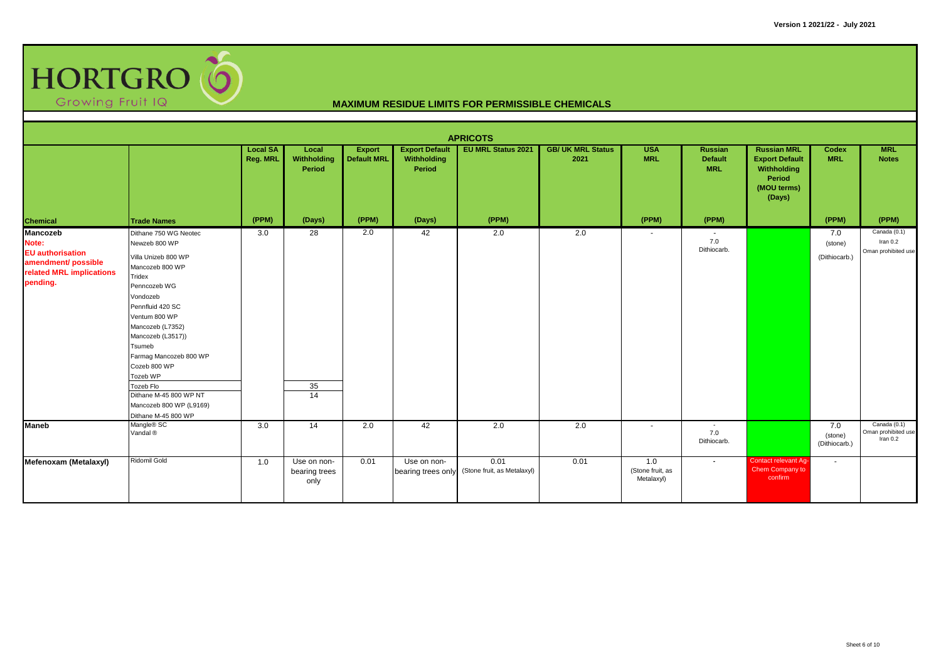

|                                                                                                             |                                                                                                                                                                                                                                                                                                                                                               |                             |                                      |                                     |                                                | <b>APRICOTS</b>                     |                                  |                                       |                                                |                                                                                               |                                 |                                                   |
|-------------------------------------------------------------------------------------------------------------|---------------------------------------------------------------------------------------------------------------------------------------------------------------------------------------------------------------------------------------------------------------------------------------------------------------------------------------------------------------|-----------------------------|--------------------------------------|-------------------------------------|------------------------------------------------|-------------------------------------|----------------------------------|---------------------------------------|------------------------------------------------|-----------------------------------------------------------------------------------------------|---------------------------------|---------------------------------------------------|
|                                                                                                             |                                                                                                                                                                                                                                                                                                                                                               | <b>Local SA</b><br>Reg. MRL | Local<br>Withholding<br>Period       | <b>Export</b><br><b>Default MRL</b> | <b>Export Default</b><br>Withholding<br>Period | <b>EU MRL Status 2021</b>           | <b>GB/ UK MRL Status</b><br>2021 | <b>USA</b><br><b>MRL</b>              | <b>Russian</b><br><b>Default</b><br><b>MRL</b> | <b>Russian MRL</b><br><b>Export Default</b><br>Withholding<br>Period<br>(MOU terms)<br>(Days) | Codex<br><b>MRL</b>             | <b>MRL</b><br><b>Notes</b>                        |
| Chemical                                                                                                    | <b>Trade Names</b>                                                                                                                                                                                                                                                                                                                                            | (PPM)                       | (Days)                               | (PPM)                               | (Days)                                         | (PPM)                               |                                  | (PPM)                                 | (PPM)                                          |                                                                                               | (PPM)                           | (PPM)                                             |
| Mancozeb<br>Note:<br><b>EU</b> authorisation<br>amendment/ possible<br>related MRL implications<br>pending. | Dithane 750 WG Neotec<br>Newzeb 800 WP<br>Villa Unizeb 800 WP<br>Mancozeb 800 WP<br>Tridex<br>Penncozeb WG<br>Vondozeb<br>Pennfluid 420 SC<br>Ventum 800 WP<br>Mancozeb (L7352)<br>Mancozeb (L3517))<br>Tsumeb<br>Farmag Mancozeb 800 WP<br>Cozeb 800 WP<br>Tozeb WP<br>Tozeb Flo<br>Dithane M-45 800 WP NT<br>Mancozeb 800 WP (L9169)<br>Dithane M-45 800 WP | 3.0                         | 28<br>35<br>14                       | 2.0                                 | 42                                             | 2.0                                 | 2.0                              | $\overline{\phantom{a}}$              | 7.0<br>Dithiocarb.                             |                                                                                               | 7.0<br>(stone)<br>(Dithiocarb.) | Canada (0.1)<br>Iran $0.2$<br>Oman prohibited use |
| <b>Maneb</b>                                                                                                | Mangle® SC<br>Vandal <sup>®</sup>                                                                                                                                                                                                                                                                                                                             | 3.0                         | 14                                   | 2.0                                 | 42                                             | 2.0                                 | 2.0                              | $\sim$                                | $\sim$<br>7.0<br>Dithiocarb.                   |                                                                                               | 7.0<br>(stone)<br>(Dithiocarb.) | Canada (0.1)<br>Oman prohibited use<br>Iran 0.2   |
| Mefenoxam (Metalaxyl)                                                                                       | Ridomil Gold                                                                                                                                                                                                                                                                                                                                                  | 1.0                         | Use on non-<br>bearing trees<br>only | 0.01                                | Use on non-<br>bearing trees only              | 0.01<br>(Stone fruit, as Metalaxyl) | 0.01                             | 1.0<br>(Stone fruit, as<br>Metalaxyl) | $\blacksquare$                                 | Contact relevant Ag-<br>Chem Company to<br>confirm                                            | $\sim$                          |                                                   |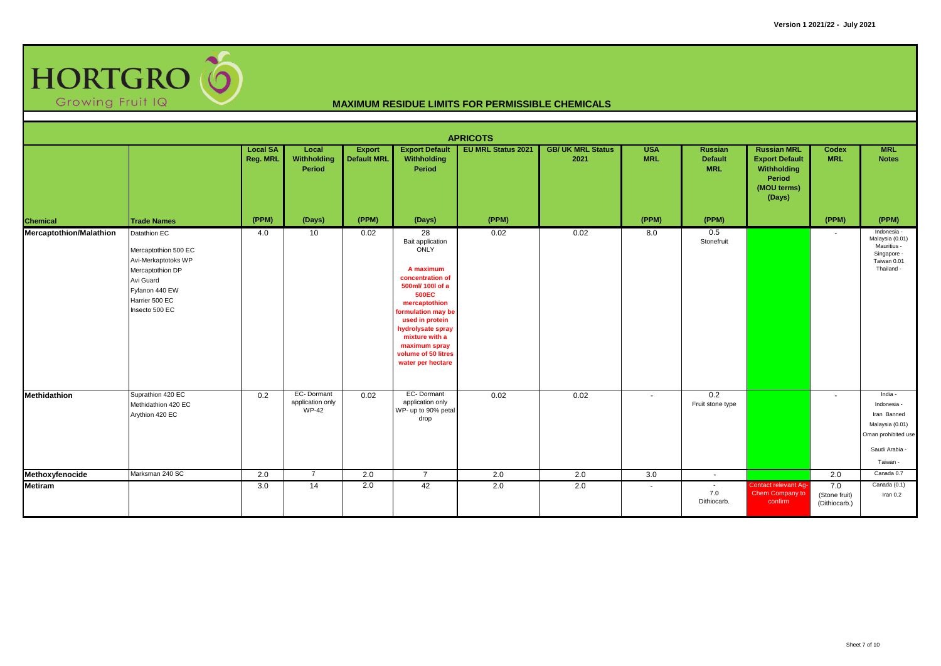

|                         |                                                                                                                                                    |                             |                                                |                                     |                                                                                                                                                                                                                                                                   | <b>APRICOTS</b>           |                                  |                          |                                         |                                                                                               |                                       |                                                                                                               |
|-------------------------|----------------------------------------------------------------------------------------------------------------------------------------------------|-----------------------------|------------------------------------------------|-------------------------------------|-------------------------------------------------------------------------------------------------------------------------------------------------------------------------------------------------------------------------------------------------------------------|---------------------------|----------------------------------|--------------------------|-----------------------------------------|-----------------------------------------------------------------------------------------------|---------------------------------------|---------------------------------------------------------------------------------------------------------------|
|                         |                                                                                                                                                    | <b>Local SA</b><br>Reg. MRL | Local<br>Withholding<br>Period                 | <b>Export</b><br><b>Default MRL</b> | <b>Export Default</b><br>Withholding<br>Period                                                                                                                                                                                                                    | <b>EU MRL Status 2021</b> | <b>GB/ UK MRL Status</b><br>2021 | <b>USA</b><br><b>MRL</b> | Russian<br><b>Default</b><br><b>MRL</b> | <b>Russian MRL</b><br><b>Export Default</b><br>Withholding<br>Period<br>(MOU terms)<br>(Days) | Codex<br><b>MRL</b>                   | <b>MRL</b><br><b>Notes</b>                                                                                    |
| <b>Chemical</b>         | <b>Trade Names</b>                                                                                                                                 | (PPM)                       | (Days)                                         | (PPM)                               | (Days)                                                                                                                                                                                                                                                            | (PPM)                     |                                  | (PPM)                    | (PPM)                                   |                                                                                               | (PPM)                                 | (PPM)                                                                                                         |
| Mercaptothion/Malathion | Datathion EC<br>Mercaptothion 500 EC<br>Avi-Merkaptotoks WP<br>Mercaptothion DP<br>Avi Guard<br>Fyfanon 440 EW<br>Harrier 500 EC<br>Insecto 500 EC | 4.0                         | 10                                             | 0.02                                | 28<br>Bait application<br>ONLY<br>A maximum<br>concentration of<br>500ml/ 100l of a<br><b>500EC</b><br>mercaptothion<br>formulation may be<br>used in protein<br>hydrolysate spray<br>mixture with a<br>maximum spray<br>volume of 50 litres<br>water per hectare | 0.02                      | 0.02                             | 8.0                      | 0.5<br>Stonefruit                       |                                                                                               | $\overline{\phantom{a}}$              | Indonesia -<br>Malaysia (0.01)<br>Mauritius -<br>Singapore -<br>Taiwan 0.01<br>Thailand -                     |
| <b>Methidathion</b>     | Suprathion 420 EC<br>Methidathion 420 EC<br>Arythion 420 EC                                                                                        | 0.2                         | EC-Dormant<br>application only<br><b>WP-42</b> | 0.02                                | EC-Dormant<br>application only<br>WP- up to 90% petal<br>drop                                                                                                                                                                                                     | 0.02                      | 0.02                             | $\sim$                   | 0.2<br>Fruit stone type                 |                                                                                               | $\overline{\phantom{a}}$              | India -<br>Indonesia -<br>Iran Banned<br>Malaysia (0.01)<br>Oman prohibited use<br>Saudi Arabia -<br>Taiwan - |
| Methoxyfenocide         | Marksman 240 SC                                                                                                                                    | 2.0                         | $\overline{7}$                                 | 2.0                                 | $\overline{7}$                                                                                                                                                                                                                                                    | 2.0                       | 2.0                              | 3.0                      | $\sim$                                  |                                                                                               | 2.0                                   | Canada 0.7                                                                                                    |
| <b>Metiram</b>          |                                                                                                                                                    | 3.0                         | 14                                             | 2.0                                 | 42                                                                                                                                                                                                                                                                | 2.0                       | 2.0                              | $\sim$                   | $\sim$<br>7.0<br>Dithiocarb.            | <b>Contact relevant Aq-</b><br>Chem Company to<br>confirm                                     | 7.0<br>(Stone fruit)<br>(Dithiocarb.) | Canada (0.1)<br>Iran $0.2$                                                                                    |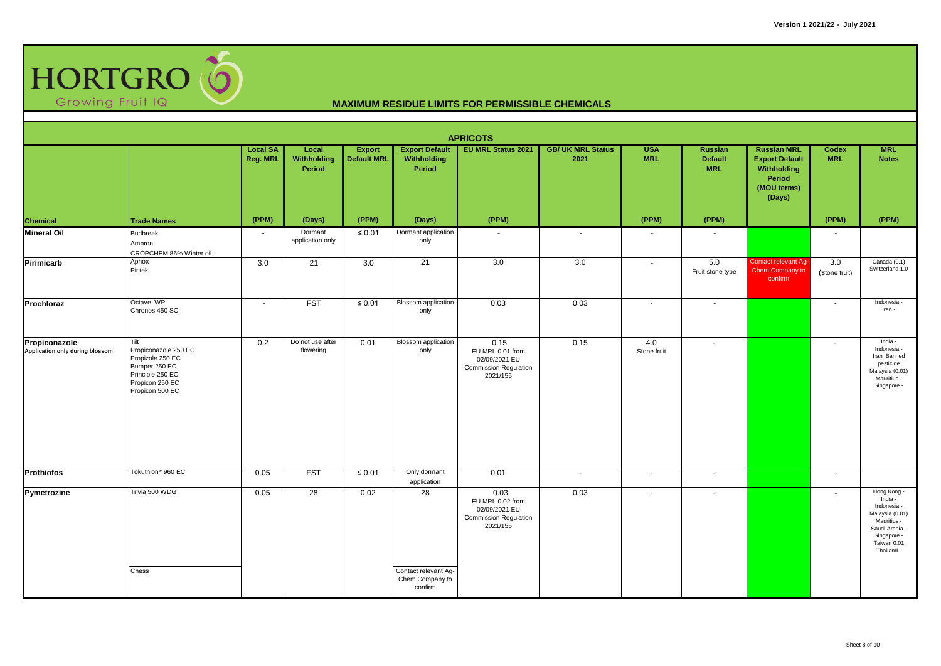

|                                                  |                                                                                                                             |                             |                                |                                     |                                                          | <b>APRICOTS</b>                                                                       |                                  |                          |                                                |                                                                                               |                          |                                                                                                                                       |
|--------------------------------------------------|-----------------------------------------------------------------------------------------------------------------------------|-----------------------------|--------------------------------|-------------------------------------|----------------------------------------------------------|---------------------------------------------------------------------------------------|----------------------------------|--------------------------|------------------------------------------------|-----------------------------------------------------------------------------------------------|--------------------------|---------------------------------------------------------------------------------------------------------------------------------------|
|                                                  |                                                                                                                             | <b>Local SA</b><br>Reg. MRL | Local<br>Withholding<br>Period | <b>Export</b><br><b>Default MRL</b> | <b>Export Default</b><br>Withholding<br>Period           | <b>EU MRL Status 2021</b>                                                             | <b>GB/ UK MRL Status</b><br>2021 | <b>USA</b><br><b>MRL</b> | <b>Russian</b><br><b>Default</b><br><b>MRL</b> | <b>Russian MRL</b><br><b>Export Default</b><br>Withholding<br>Period<br>(MOU terms)<br>(Days) | Codex<br><b>MRL</b>      | <b>MRL</b><br><b>Notes</b>                                                                                                            |
| <b>Chemical</b>                                  | <b>Trade Names</b>                                                                                                          | (PPM)                       | (Days)                         | (PPM)                               | (Days)                                                   | (PPM)                                                                                 |                                  | (PPM)                    | (PPM)                                          |                                                                                               | (PPM)                    | (PPM)                                                                                                                                 |
| <b>Mineral Oil</b>                               | <b>Budbreak</b><br>Ampron<br>CROPCHEM 86% Winter oil                                                                        | $\sim$                      | Dormant<br>application only    | $\leq 0.01$                         | Dormant application<br>only                              |                                                                                       | $\sim$                           | $\overline{\phantom{a}}$ |                                                |                                                                                               |                          |                                                                                                                                       |
| Pirimicarb                                       | Aphox<br>Piritek                                                                                                            | 3.0                         | 21                             | 3.0                                 | 21                                                       | 3.0                                                                                   | 3.0                              | $\sim$                   | 5.0<br>Fruit stone type                        | Contact relevant Ag-<br>Chem Company to<br>confirm                                            | 3.0<br>(Stone fruit)     | Canada (0.1)<br>Switzerland 1.0                                                                                                       |
| Prochloraz                                       | Octave WP<br>Chronos 450 SC                                                                                                 | $\sim$                      | <b>FST</b>                     | $\leq 0.01$                         | <b>Blossom</b> application<br>only                       | 0.03                                                                                  | 0.03                             | $\sim$                   | $\sim$                                         |                                                                                               | $\overline{\phantom{a}}$ | Indonesia -<br>Iran -                                                                                                                 |
| Propiconazole<br>Application only during blossom | Tilt<br>Propiconazole 250 EC<br>Propizole 250 EC<br>Bumper 250 EC<br>Principle 250 EC<br>Propicon 250 EC<br>Propicon 500 EC | 0.2                         | Do not use after<br>flowering  | 0.01                                | <b>Blossom</b> application<br>only                       | 0.15<br>EU MRL 0.01 from<br>02/09/2021 EU<br><b>Commission Regulation</b><br>2021/155 | 0.15                             | 4.0<br>Stone fruit       | $\overline{\phantom{a}}$                       |                                                                                               |                          | India -<br>Indonesia -<br>Iran Banned<br>pesticide<br>Malaysia (0.01)<br>Mauritius -<br>Singapore -                                   |
| Prothiofos                                       | Tokuthion <sup>®</sup> 960 EC                                                                                               | 0.05                        | <b>FST</b>                     | $\leq 0.01$                         | Only dormant<br>application                              | 0.01                                                                                  | $\sim$                           | $\sim$                   | $\overline{\phantom{a}}$                       |                                                                                               | $\sim$                   |                                                                                                                                       |
| Pymetrozine                                      | Trivia 500 WDG<br>Chess                                                                                                     | 0.05                        | $\overline{28}$                | 0.02                                | 28<br>Contact relevant Ag-<br>Chem Company to<br>confirm | 0.03<br>EU MRL 0.02 from<br>02/09/2021 EU<br><b>Commission Regulation</b><br>2021/155 | 0.03                             | $\sim$                   |                                                |                                                                                               |                          | Hong Kong -<br>India -<br>Indonesia -<br>Malaysia (0.01)<br>Mauritius -<br>Saudi Arabia -<br>Singapore -<br>Taiwan 0.01<br>Thailand - |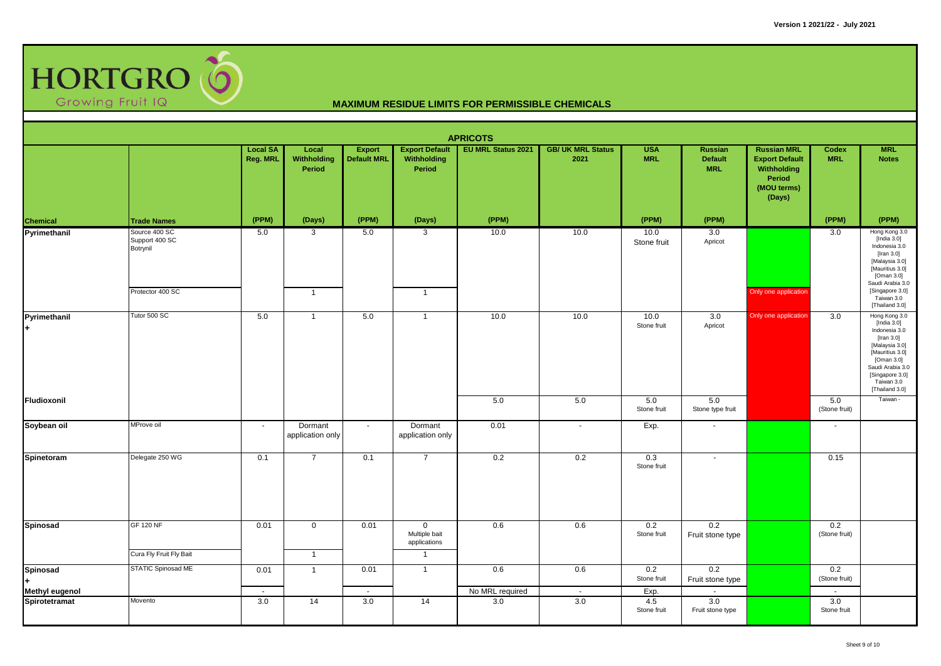

| <b>APRICOTS</b><br><b>EU MRL Status 2021</b><br><b>Local SA</b><br><b>Export Default</b><br><b>GB/ UK MRL Status</b><br><b>USA</b><br><b>Russian MRL</b><br>Codex<br><b>MRL</b><br>Local<br><b>Export</b><br><b>Russian</b> |                                                                 |                |                             |                    |                                                                |                        |               |                            |                              |                                                                         |                                |                                                                                                                                                                                          |  |
|-----------------------------------------------------------------------------------------------------------------------------------------------------------------------------------------------------------------------------|-----------------------------------------------------------------|----------------|-----------------------------|--------------------|----------------------------------------------------------------|------------------------|---------------|----------------------------|------------------------------|-------------------------------------------------------------------------|--------------------------------|------------------------------------------------------------------------------------------------------------------------------------------------------------------------------------------|--|
|                                                                                                                                                                                                                             |                                                                 | Reg. MRL       | Withholding<br>Period       | <b>Default MRL</b> | Withholding<br>Period                                          |                        | 2021          | <b>MRL</b>                 | <b>Default</b><br><b>MRL</b> | <b>Export Default</b><br>Withholding<br>Period<br>(MOU terms)<br>(Days) | <b>MRL</b>                     | <b>Notes</b>                                                                                                                                                                             |  |
| <b>Chemical</b><br>Pyrimethanil                                                                                                                                                                                             | <b>Trade Names</b>                                              | (PPM)          | (Days)                      | (PPM)              | (Days)                                                         | (PPM)                  |               | (PPM)                      | (PPM)                        |                                                                         | (PPM)                          | (PPM)                                                                                                                                                                                    |  |
|                                                                                                                                                                                                                             | Source 400 SC<br>Support 400 SC<br>Botrynil<br>Protector 400 SC | 5.0            | 3<br>$\mathbf{1}$           | 5.0                | 3<br>$\overline{1}$                                            | 10.0                   | 10.0          | 10.0<br>Stone fruit        | 3.0<br>Apricot               | Only one application                                                    | 3.0                            | Hong Kong 3.0<br>[India $3.0$ ]<br>Indonesia 3.0<br>[Iran 3.0]<br>[Malaysia 3.0]<br>[Mauritius 3.0]<br>[Oman 3.0]<br>Saudi Arabia 3.0<br>[Singapore 3.0]<br>Taiwan 3.0<br>[Thailand 3.0] |  |
| Pyrimethanil<br>l+                                                                                                                                                                                                          | Tutor 500 SC                                                    | 5.0            | $\overline{1}$              | 5.0                | $\overline{1}$                                                 | 10.0                   | 10.0          | 10.0<br>Stone fruit        | 3.0<br>Apricot               | Only one application                                                    | 3.0                            | Hong Kong 3.0<br>[India 3.0]<br>Indonesia 3.0<br>[Iran 3.0]<br>[Malaysia 3.0]<br>[Mauritius 3.0]<br>[Oman 3.0]<br>Saudi Arabia 3.0<br>[Singapore 3.0]<br>Taiwan 3.0<br>[Thailand 3.0]    |  |
| Fludioxonil                                                                                                                                                                                                                 |                                                                 |                |                             |                    |                                                                | 5.0                    | 5.0           | 5.0<br>Stone fruit         | 5.0<br>Stone type fruit      |                                                                         | 5.0<br>(Stone fruit)           | Taiwan -                                                                                                                                                                                 |  |
| Soybean oil                                                                                                                                                                                                                 | MProve oil                                                      | $\sim$         | Dormant<br>application only | $\sim$             | Dormant<br>application only                                    | 0.01                   | $\sim$        | Exp.                       | $\sim$                       |                                                                         | $\sim$                         |                                                                                                                                                                                          |  |
| Spinetoram                                                                                                                                                                                                                  | Delegate 250 WG                                                 | 0.1            | $\overline{7}$              | 0.1                | $\overline{7}$                                                 | 0.2                    | 0.2           | 0.3<br>Stone fruit         | $\blacksquare$               |                                                                         | 0.15                           |                                                                                                                                                                                          |  |
| Spinosad                                                                                                                                                                                                                    | <b>GF 120 NF</b><br>Cura Fly Fruit Fly Bait                     | 0.01           | $\mathsf 0$<br>$\mathbf{1}$ | 0.01               | $\mathbf 0$<br>Multiple bait<br>applications<br>$\overline{1}$ | 0.6                    | 0.6           | 0.2<br>Stone fruit         | 0.2<br>Fruit stone type      |                                                                         | 0.2<br>(Stone fruit)           |                                                                                                                                                                                          |  |
| Spinosad<br>ŀ.<br><b>Methyl eugenol</b>                                                                                                                                                                                     | <b>STATIC Spinosad ME</b>                                       | 0.01<br>$\sim$ | $\mathbf{1}$                | 0.01<br>$\sim$     | $\overline{1}$                                                 | 0.6<br>No MRL required | 0.6<br>$\sim$ | 0.2<br>Stone fruit<br>Exp. | 0.2<br>Fruit stone type      |                                                                         | 0.2<br>(Stone fruit)<br>$\sim$ |                                                                                                                                                                                          |  |
| Spirotetramat                                                                                                                                                                                                               | Movento                                                         | 3.0            | 14                          | 3.0                | 14                                                             | 3.0                    | 3.0           | 4.5<br>Stone fruit         | 3.0<br>Fruit stone type      |                                                                         | 3.0<br>Stone fruit             |                                                                                                                                                                                          |  |